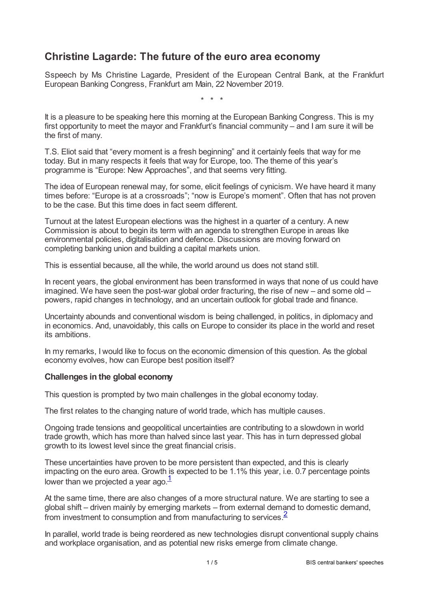# **Christine Lagarde: The future of the euro area economy**

Sspeech by Ms Christine Lagarde, President of the European Central Bank, at the Frankfurt European Banking Congress, Frankfurt am Main, 22 November 2019.

\* \* \*

It is a pleasure to be speaking here this morning at the European Banking Congress. This is my first opportunity to meet the mayor and Frankfurt's financial community – and I am sure it will be the first of many.

T.S. Eliot said that "every moment is a fresh beginning" and it certainly feels that way for me today. But in many respects it feels that way for Europe, too. The theme of this year's programme is "Europe: New Approaches", and that seems very fitting.

The idea of European renewal may, for some, elicit feelings of cynicism. We have heard it many times before: "Europe is at a crossroads"; "now is Europe's moment". Often that has not proven to be the case. But this time does in fact seem different.

Turnout at the latest European elections was the highest in a quarter of a century. A new Commission is about to begin its term with an agenda to strengthen Europe in areas like environmental policies, digitalisation and defence. Discussions are moving forward on completing banking union and building a capital markets union.

This is essential because, all the while, the world around us does not stand still.

In recent years, the global environment has been transformed in ways that none of us could have imagined. We have seen the post-war global order fracturing, the rise of new – and some old – powers, rapid changes in technology, and an uncertain outlook for global trade and finance.

Uncertainty abounds and conventional wisdom is being challenged, in politics, in diplomacy and in economics. And, unavoidably, this calls on Europe to consider its place in the world and reset its ambitions.

In my remarks, I would like to focus on the economic dimension of this question. As the global economy evolves, how can Europe best position itself?

### **Challenges in the global economy**

This question is prompted by two main challenges in the global economy today.

The first relates to the changing nature of world trade, which has multiple causes.

Ongoing trade tensions and geopolitical uncertainties are contributing to a slowdown in world trade growth, which has more than halved since last year. This has in turn depressed global growth to its lowest level since the great financial crisis.

These uncertainties have proven to be more persistent than expected, and this is clearly impacting on the euro area. Growth is expected to be 1.1% this year, i.e. 0.7 percentage points lower than we projected a year ago. $1/2$  $1/2$ 

<span id="page-0-0"></span>At the same time, there are also changes of a more structural nature. We are starting to see a global shift – driven mainly by emerging markets – from external demand to domestic demand, from investment to consumption and from manufacturing to services. $\frac{2}{3}$  $\frac{2}{3}$  $\frac{2}{3}$ 

<span id="page-0-1"></span>In parallel, world trade is being reordered as new technologies disrupt conventional supply chains and workplace organisation, and as potential new risks emerge from climate change.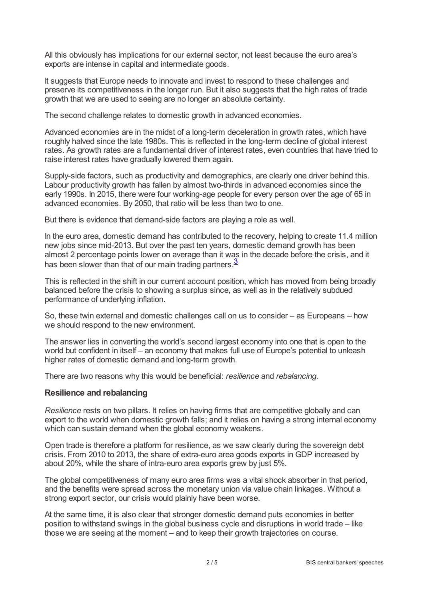All this obviously has implications for our external sector, not least because the euro area's exports are intense in capital and intermediate goods.

It suggests that Europe needs to innovate and invest to respond to these challenges and preserve its competitiveness in the longer run. But it also suggests that the high rates of trade growth that we are used to seeing are no longer an absolute certainty.

The second challenge relates to domestic growth in advanced economies.

Advanced economies are in the midst of a long-term deceleration in growth rates, which have roughly halved since the late 1980s. This is reflected in the long-term decline of global interest rates. As growth rates are a fundamental driver of interest rates, even countries that have tried to raise interest rates have gradually lowered them again.

Supply-side factors, such as productivity and demographics, are clearly one driver behind this. Labour productivity growth has fallen by almost two-thirds in advanced economies since the early 1990s. In 2015, there were four working-age people for every person over the age of 65 in advanced economies. By 2050, that ratio will be less than two to one.

But there is evidence that demand-side factors are playing a role as well.

In the euro area, domestic demand has contributed to the recovery, helping to create 11.4 million new jobs since mid-2013. But over the past ten years, domestic demand growth has been almost 2 percentage points lower on average than it was in the decade before the crisis, and it has been slower than that of our main trading partners.<sup>[3](#page-4-2)</sup>

<span id="page-1-0"></span>This is reflected in the shift in our current account position, which has moved from being broadly balanced before the crisis to showing a surplus since, as well as in the relatively subdued performance of underlying inflation.

So, these twin external and domestic challenges call on us to consider – as Europeans – how we should respond to the new environment.

The answer lies in converting the world's second largest economy into one that is open to the world but confident in itself – an economy that makes full use of Europe's potential to unleash higher rates of domestic demand and long-term growth.

There are two reasons why this would be beneficial: *resilience* and *rebalancing*.

### **Resilience and rebalancing**

*Resilience* rests on two pillars. It relies on having firms that are competitive globally and can export to the world when domestic growth falls; and it relies on having a strong internal economy which can sustain demand when the global economy weakens.

Open trade is therefore a platform for resilience, as we saw clearly during the sovereign debt crisis. From 2010 to 2013, the share of extra-euro area goods exports in GDP increased by about 20%, while the share of intra-euro area exports grew by just 5%.

The global competitiveness of many euro area firms was a vital shock absorber in that period, and the benefits were spread across the monetary union via value chain linkages. Without a strong export sector, our crisis would plainly have been worse.

At the same time, it is also clear that stronger domestic demand puts economies in better position to withstand swings in the global business cycle and disruptions in world trade – like those we are seeing at the moment – and to keep their growth trajectories on course.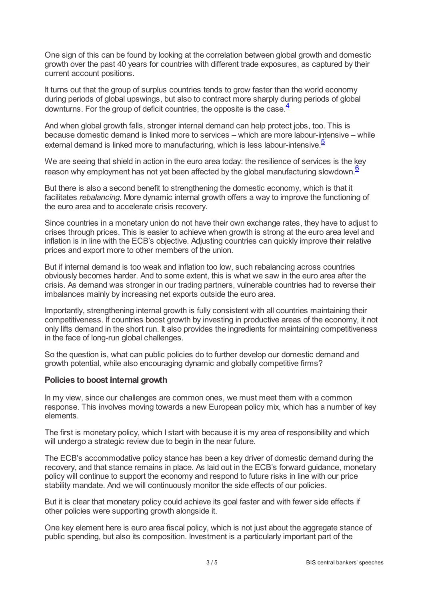One sign of this can be found by looking at the correlation between global growth and domestic growth over the past 40 years for countries with different trade exposures, as captured by their current account positions.

It turns out that the group of surplus countries tends to grow faster than the world economy during periods of global upswings, but also to contract more sharply during periods of global downturns. For the group of deficit countries, the opposite is the case.  $\frac{4}{3}$  $\frac{4}{3}$  $\frac{4}{3}$ 

<span id="page-2-0"></span>And when global growth falls, stronger internal demand can help protect jobs, too. This is because domestic demand is linked more to services – which are more labour-intensive – while external demand is linked more to manufacturing, which is less labour-intensive.<sup>[5](#page-4-4)</sup>

<span id="page-2-2"></span><span id="page-2-1"></span>We are seeing that shield in action in the euro area today: the resilience of services is the key reason why employment has not yet been affected by the global manufacturing slowdown. $6$ 

But there is also a second benefit to strengthening the domestic economy, which is that it facilitates *rebalancing*. More dynamic internal growth offers a way to improve the functioning of the euro area and to accelerate crisis recovery.

Since countries in a monetary union do not have their own exchange rates, they have to adjust to crises through prices. This is easier to achieve when growth is strong at the euro area level and inflation is in line with the ECB's objective. Adjusting countries can quickly improve their relative prices and export more to other members of the union.

But if internal demand is too weak and inflation too low, such rebalancing across countries obviously becomes harder. And to some extent, this is what we saw in the euro area after the crisis. As demand was stronger in our trading partners, vulnerable countries had to reverse their imbalances mainly by increasing net exports outside the euro area.

Importantly, strengthening internal growth is fully consistent with all countries maintaining their competitiveness. If countries boost growth by investing in productive areas of the economy, it not only lifts demand in the short run. It also provides the ingredients for maintaining competitiveness in the face of long-run global challenges.

So the question is, what can public policies do to further develop our domestic demand and growth potential, while also encouraging dynamic and globally competitive firms?

### **Policies to boost internal growth**

In my view, since our challenges are common ones, we must meet them with a common response. This involves moving towards a new European policy mix, which has a number of key elements.

The first is monetary policy, which I start with because it is my area of responsibility and which will undergo a strategic review due to begin in the near future.

The ECB's accommodative policy stance has been a key driver of domestic demand during the recovery, and that stance remains in place. As laid out in the ECB's forward guidance, monetary policy will continue to support the economy and respond to future risks in line with our price stability mandate. And we will continuously monitor the side effects of our policies.

But it is clear that monetary policy could achieve its goal faster and with fewer side effects if other policies were supporting growth alongside it.

One key element here is euro area fiscal policy, which is not just about the aggregate stance of public spending, but also its composition. Investment is a particularly important part of the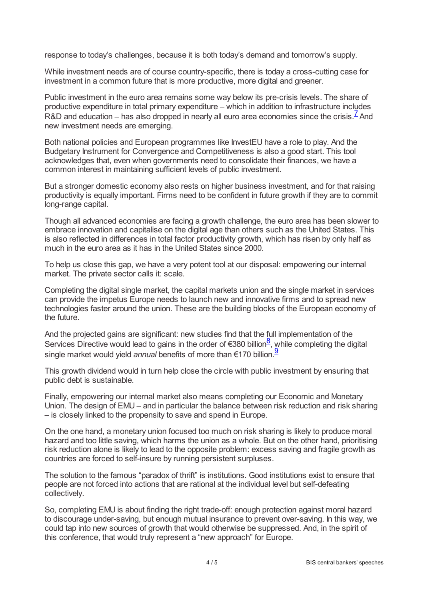response to today's challenges, because it is both today's demand and tomorrow's supply.

While investment needs are of course country-specific, there is today a cross-cutting case for investment in a common future that is more productive, more digital and greener.

<span id="page-3-0"></span>Public investment in the euro area remains some way below its pre-crisis levels. The share of productive expenditure in total primary expenditure – which in addition to infrastructure includes R&D and education – has also dropped in nearly all euro area economies since the crisis.  $\frac{7}{5}$  $\frac{7}{5}$  $\frac{7}{5}$  And new investment needs are emerging.

Both national policies and European programmes like InvestEU have a role to play. And the Budgetary Instrument for Convergence and Competitiveness is also a good start. This tool acknowledges that, even when governments need to consolidate their finances, we have a common interest in maintaining sufficient levels of public investment.

But a stronger domestic economy also rests on higher business investment, and for that raising productivity is equally important. Firms need to be confident in future growth if they are to commit long-range capital.

Though all advanced economies are facing a growth challenge, the euro area has been slower to embrace innovation and capitalise on the digital age than others such as the United States. This is also reflected in differences in total factor productivity growth, which has risen by only half as much in the euro area as it has in the United States since 2000.

To help us close this gap, we have a very potent tool at our disposal: empowering our internal market. The private sector calls it: scale.

Completing the digital single market, the capital markets union and the single market in services can provide the impetus Europe needs to launch new and innovative firms and to spread new technologies faster around the union. These are the building blocks of the European economy of the future.

<span id="page-3-1"></span>And the projected gains are significant: new studies find that the full implementation of the Services Directive would lead to gains in the order of €3[8](#page-4-7)0 billion<sup>8</sup>, while completing the digital single market would yield *annual* benefits of more than €170 billion. [9](#page-4-8)

<span id="page-3-2"></span>This growth dividend would in turn help close the circle with public investment by ensuring that public debt is sustainable.

Finally, empowering our internal market also means completing our Economic and Monetary Union. The design of EMU – and in particular the balance between risk reduction and risk sharing – is closely linked to the propensity to save and spend in Europe.

On the one hand, a monetary union focused too much on risk sharing is likely to produce moral hazard and too little saving, which harms the union as a whole. But on the other hand, prioritising risk reduction alone is likely to lead to the opposite problem: excess saving and fragile growth as countries are forced to self-insure by running persistent surpluses.

The solution to the famous "paradox of thrift" is institutions. Good institutions exist to ensure that people are not forced into actions that are rational at the individual level but self-defeating collectively.

So, completing EMU is about finding the right trade-off: enough protection against moral hazard to discourage under-saving, but enough mutual insurance to prevent over-saving. In this way, we could tap into new sources of growth that would otherwise be suppressed. And, in the spirit of this conference, that would truly represent a "new approach" for Europe.